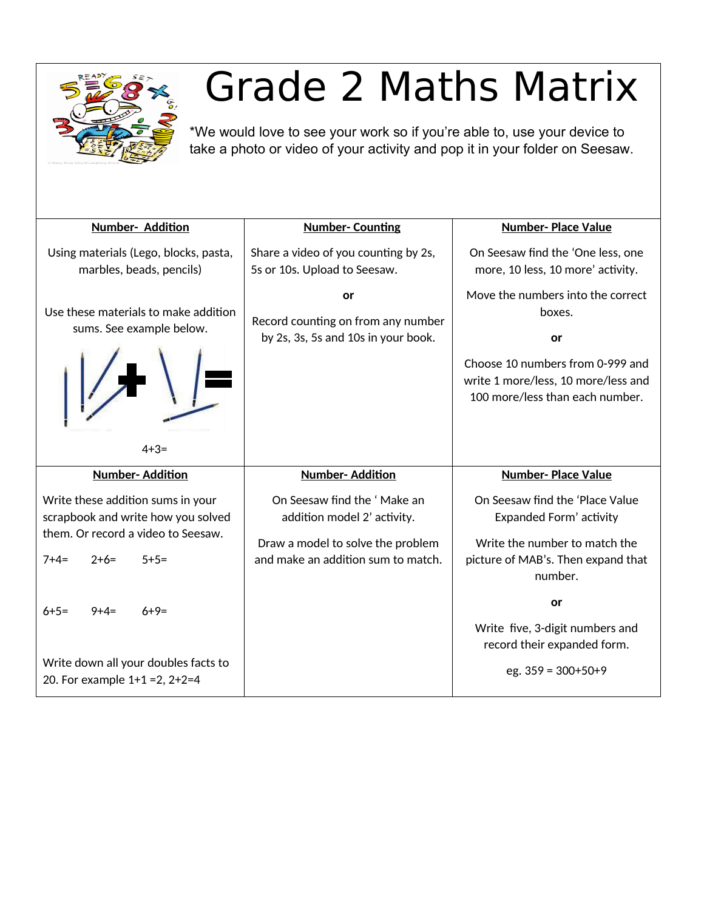

## Grade 2 Maths Matrix

\*We would love to see your work so if you're able to, use your device to take a photo or video of your activity and pop it in your folder on Seesaw.

| Number- Addition                                                                                              | <b>Number-Counting</b>                                                                          | <b>Number-Place Value</b>                                                                                                                                       |
|---------------------------------------------------------------------------------------------------------------|-------------------------------------------------------------------------------------------------|-----------------------------------------------------------------------------------------------------------------------------------------------------------------|
| Using materials (Lego, blocks, pasta,<br>marbles, beads, pencils)                                             | Share a video of you counting by 2s,<br>5s or 10s. Upload to Seesaw.                            | On Seesaw find the 'One less, one<br>more, 10 less, 10 more' activity.                                                                                          |
| Use these materials to make addition<br>sums. See example below.<br>$4 + 3 =$                                 | or<br>Record counting on from any number<br>by 2s, 3s, 5s and 10s in your book.                 | Move the numbers into the correct<br>boxes.<br>or<br>Choose 10 numbers from 0-999 and<br>write 1 more/less, 10 more/less and<br>100 more/less than each number. |
| <b>Number-Addition</b>                                                                                        | <b>Number-Addition</b>                                                                          | <b>Number-Place Value</b>                                                                                                                                       |
| Write these addition sums in your<br>scrapbook and write how you solved<br>them. Or record a video to Seesaw. | On Seesaw find the 'Make an<br>addition model 2' activity.<br>Draw a model to solve the problem | On Seesaw find the 'Place Value<br>Expanded Form' activity<br>Write the number to match the                                                                     |
| $7+4=$<br>-4+6<br>$5+5=$                                                                                      | and make an addition sum to match.                                                              | picture of MAB's. Then expand that<br>number.                                                                                                                   |
| $6 + 5 =$<br>$6+9=$<br>$9+4=$                                                                                 |                                                                                                 | or                                                                                                                                                              |
|                                                                                                               |                                                                                                 | Write five, 3-digit numbers and<br>record their expanded form.                                                                                                  |
| Write down all your doubles facts to<br>20. For example $1+1=2$ , $2+2=4$                                     |                                                                                                 | eg. $359 = 300+50+9$                                                                                                                                            |